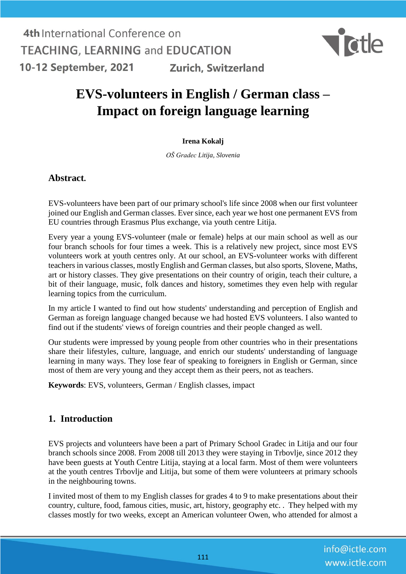

# **EVS-volunteers in English / German class – Impact on foreign language learning**

### **Irena Kokalj**

*OŠ Gradec Litija, Slovenia*

### **Abstract.**

EVS-volunteers have been part of our primary school's life since 2008 when our first volunteer joined our English and German classes. Ever since, each year we host one permanent EVS from EU countries through Erasmus Plus exchange, via youth centre Litija.

Every year a young EVS-volunteer (male or female) helps at our main school as well as our four branch schools for four times a week. This is a relatively new project, since most EVS volunteers work at youth centres only. At our school, an EVS-volunteer works with different teachers in various classes, mostly English and German classes, but also sports, Slovene, Maths, art or history classes. They give presentations on their country of origin, teach their culture, a bit of their language, music, folk dances and history, sometimes they even help with regular learning topics from the curriculum.

In my article I wanted to find out how students' understanding and perception of English and German as foreign language changed because we had hosted EVS volunteers. I also wanted to find out if the students' views of foreign countries and their people changed as well.

Our students were impressed by young people from other countries who in their presentations share their lifestyles, culture, language, and enrich our students' understanding of language learning in many ways. They lose fear of speaking to foreigners in English or German, since most of them are very young and they accept them as their peers, not as teachers.

**Keywords**: EVS, volunteers, German / English classes, impact

### **1. Introduction**

EVS projects and volunteers have been a part of Primary School Gradec in Litija and our four branch schools since 2008. From 2008 till 2013 they were staying in Trbovlje, since 2012 they have been guests at Youth Centre Litija, staying at a local farm. Most of them were volunteers at the youth centres Trbovlje and Litija, but some of them were volunteers at primary schools in the neighbouring towns.

I invited most of them to my English classes for grades 4 to 9 to make presentations about their country, culture, food, famous cities, music, art, history, geography etc. . They helped with my classes mostly for two weeks, except an American volunteer Owen, who attended for almost a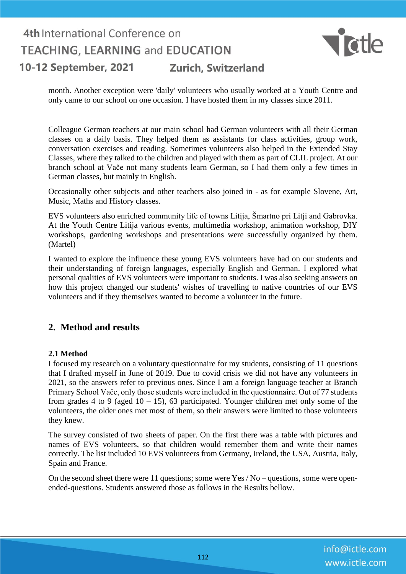

month. Another exception were 'daily' volunteers who usually worked at a Youth Centre and only came to our school on one occasion. I have hosted them in my classes since 2011.

Colleague German teachers at our main school had German volunteers with all their German classes on a daily basis. They helped them as assistants for class activities, group work, conversation exercises and reading. Sometimes volunteers also helped in the Extended Stay Classes, where they talked to the children and played with them as part of CLIL project. At our branch school at Vače not many students learn German, so I had them only a few times in German classes, but mainly in English.

Occasionally other subjects and other teachers also joined in - as for example Slovene, Art, Music, Maths and History classes.

EVS volunteers also enriched community life of towns Litija, Šmartno pri Litji and Gabrovka. At the Youth Centre Litija various events, multimedia workshop, animation workshop, DIY workshops, gardening workshops and presentations were successfully organized by them. (Martel)

I wanted to explore the influence these young EVS volunteers have had on our students and their understanding of foreign languages, especially English and German. I explored what personal qualities of EVS volunteers were important to students. I was also seeking answers on how this project changed our students' wishes of travelling to native countries of our EVS volunteers and if they themselves wanted to become a volunteer in the future.

### **2. Method and results**

### **2.1 Method**

I focused my research on a voluntary questionnaire for my students, consisting of 11 questions that I drafted myself in June of 2019. Due to covid crisis we did not have any volunteers in 2021, so the answers refer to previous ones. Since I am a foreign language teacher at Branch Primary School Vače, only those students were included in the questionnaire. Out of 77 students from grades 4 to 9 (aged  $10 - 15$ ), 63 participated. Younger children met only some of the volunteers, the older ones met most of them, so their answers were limited to those volunteers they knew.

The survey consisted of two sheets of paper. On the first there was a table with pictures and names of EVS volunteers, so that children would remember them and write their names correctly. The list included 10 EVS volunteers from Germany, Ireland, the USA, Austria, Italy, Spain and France.

On the second sheet there were 11 questions; some were Yes / No – questions, some were openended-questions. Students answered those as follows in the Results bellow.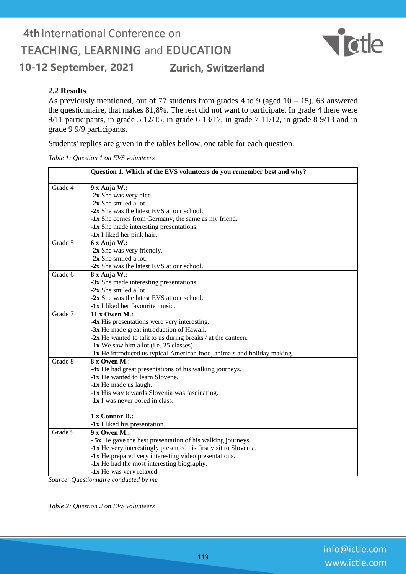# 4th International Conference on **TEACHING, LEARNING and EDUCATION** Zurich, Switzerland 10-12 September, 2021



### **2.2 Results**

As previously mentioned, out of 77 students from grades 4 to 9 (aged  $10 - 15$ ), 63 answered the questionnaire, that makes 81,8%. The rest did not want to participate. In grade 4 there were 9/11 participants, in grade 5 12/15, in grade 6 13/17, in grade 7 11/12, in grade 8 9/13 and in grade 9 9/9 participants.

Students' replies are given in the tables bellow, one table for each question.

*Table 1: Question 1 on EVS volunteers*

|         | Question 1. Which of the EVS volunteers do you remember best and why?   |
|---------|-------------------------------------------------------------------------|
| Grade 4 | 9 x Anja W.:                                                            |
|         | $-2x$ She was very nice.                                                |
|         | -2x She smiled a lot.                                                   |
|         | -2x She was the latest EVS at our school.                               |
|         | -1x She comes from Germany, the same as my friend.                      |
|         | -1x She made interesting presentations.                                 |
|         | -1x I liked her pink hair.                                              |
| Grade 5 | 6 x Anja W.:                                                            |
|         | $-2x$ She was very friendly.                                            |
|         | $-2x$ She smiled a lot.                                                 |
|         | -2x She was the latest EVS at our school.                               |
| Grade 6 | 8 x Anja W.:                                                            |
|         | -3x She made interesting presentations.                                 |
|         | $-2x$ She smiled a lot.                                                 |
|         | -2x She was the latest EVS at our school.                               |
|         | -1x I liked her favourite music.                                        |
| Grade 7 | $11 x$ Owen M.:                                                         |
|         | -4x His presentations were very interesting.                            |
|         | -3x He made great introduction of Hawaii.                               |
|         | $-2x$ He wanted to talk to us during breaks / at the canteen.           |
|         | -1x We saw him a lot (i.e. 25 classes).                                 |
|         | -1x He introduced us typical American food, animals and holiday making. |
| Grade 8 | 8 x Owen M.:                                                            |
|         | -4x He had great presentations of his walking journeys.                 |
|         | -1x He wanted to learn Slovene.                                         |
|         | -1x He made us laugh.                                                   |
|         | -1x His way towards Slovenia was fascinating.                           |
|         | -1x I was never bored in class.                                         |
|         | 1 x Connor D.:                                                          |
|         | -1x I liked his presentation.                                           |
| Grade 9 | 9 x Owen M.:                                                            |
|         | - 5x He gave the best presentation of his walking journeys.             |
|         | -1x He very interestingly presented his first visit to Slovenia.        |
|         | -1x He prepared very interesting video presentations.                   |
|         | -1x He had the most interesting biography.                              |
|         | -1x He was very relaxed.                                                |

*Source: Questionnaire conducted by me*

*Table 2: Question 2 on EVS volunteers*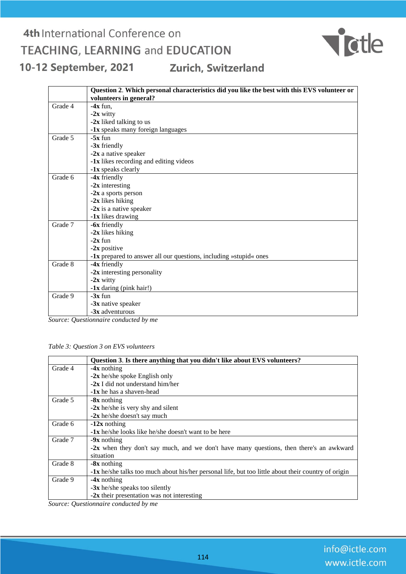

|         | Question 2. Which personal characteristics did you like the best with this EVS volunteer or |
|---------|---------------------------------------------------------------------------------------------|
|         | volunteers in general?                                                                      |
| Grade 4 | $-4x$ fun.                                                                                  |
|         | $-2x$ witty                                                                                 |
|         | -2x liked talking to us                                                                     |
|         | -1x speaks many foreign languages                                                           |
| Grade 5 | $-5x$ fun                                                                                   |
|         | $-3x$ friendly                                                                              |
|         | $-2x$ a native speaker                                                                      |
|         | -1x likes recording and editing videos                                                      |
|         | -1x speaks clearly                                                                          |
| Grade 6 | -4x friendly                                                                                |
|         | $-2x$ interesting                                                                           |
|         | -2x a sports person                                                                         |
|         | -2x likes hiking                                                                            |
|         | $-2x$ is a native speaker                                                                   |
|         | -1x likes drawing                                                                           |
| Grade 7 | -6x friendly                                                                                |
|         | -2x likes hiking                                                                            |
|         | $-2x$ fun                                                                                   |
|         | $-2x$ positive                                                                              |
|         | -1x prepared to answer all our questions, including »stupid« ones                           |
| Grade 8 | $-4x$ friendly                                                                              |
|         | $-2x$ interesting personality                                                               |
|         | $-2x$ witty                                                                                 |
|         | $-1x$ daring (pink hair!)                                                                   |
| Grade 9 | $-3x$ fun                                                                                   |
|         | $-3x$ native speaker                                                                        |
|         | -3x adventurous                                                                             |

*Source: Questionnaire conducted by me*

*Table 3: Question 3 on EVS volunteers*

|         | Question 3. Is there anything that you didn't like about EVS volunteers?                            |
|---------|-----------------------------------------------------------------------------------------------------|
| Grade 4 | $-4x$ nothing                                                                                       |
|         | $-2x$ he/she spoke English only                                                                     |
|         | $-2x$ I did not understand him/her                                                                  |
|         | $-1x$ he has a shaven-head                                                                          |
| Grade 5 | -8x nothing                                                                                         |
|         | $-2x$ he/she is very shy and silent                                                                 |
|         | $-2x$ he/she doesn't say much                                                                       |
| Grade 6 | $-12x$ nothing                                                                                      |
|         | $-1x$ he/she looks like he/she doesn't want to be here                                              |
| Grade 7 | $-9x$ nothing                                                                                       |
|         | <b>-2x</b> when they don't say much, and we don't have many questions, then there's an awkward      |
|         | situation                                                                                           |
| Grade 8 | $-8x$ nothing                                                                                       |
|         | -1x he/she talks too much about his/her personal life, but too little about their country of origin |
| Grade 9 | $-4x$ nothing                                                                                       |
|         | $-3x$ he/she speaks too silently                                                                    |
|         | $-2x$ their presentation was not interesting                                                        |

*Source: Questionnaire conducted by me*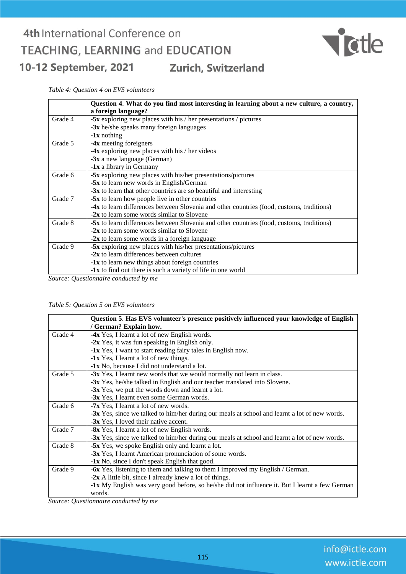

*Table 4: Question 4 on EVS volunteers*

|         | Question 4. What do you find most interesting in learning about a new culture, a country, |
|---------|-------------------------------------------------------------------------------------------|
|         | a foreign language?                                                                       |
| Grade 4 | $-5x$ exploring new places with his / her presentations / pictures                        |
|         | $-3x$ he/she speaks many foreign languages                                                |
|         | $-1x$ nothing                                                                             |
| Grade 5 | -4x meeting foreigners                                                                    |
|         | $-4x$ exploring new places with his / her videos                                          |
|         | $-3x$ a new language (German)                                                             |
|         | -1x a library in Germany                                                                  |
| Grade 6 | -5x exploring new places with his/her presentations/pictures                              |
|         | -5x to learn new words in English/German                                                  |
|         | $-3x$ to learn that other countries are so beautiful and interesting                      |
| Grade 7 | <b>-5x</b> to learn how people live in other countries                                    |
|         | -4x to learn differences between Slovenia and other countries (food, customs, traditions) |
|         | <b>-2x</b> to learn some words similar to Slovene                                         |
| Grade 8 | -5x to learn differences between Slovenia and other countries (food, customs, traditions) |
|         | <b>-2x</b> to learn some words similar to Slovene                                         |
|         | $-2x$ to learn some words in a foreign language                                           |
| Grade 9 | -5x exploring new places with his/her presentations/pictures                              |
|         | $-2x$ to learn differences between cultures                                               |
|         | -1x to learn new things about foreign countries                                           |
|         | <b>-1x</b> to find out there is such a variety of life in one world                       |
|         |                                                                                           |

*Source: Questionnaire conducted by me*

*Table 5: Question 5 on EVS volunteers*

|         | Question 5. Has EVS volunteer's presence positively influenced your knowledge of English       |
|---------|------------------------------------------------------------------------------------------------|
|         | / German? Explain how.                                                                         |
| Grade 4 | -4x Yes, I learnt a lot of new English words.                                                  |
|         | -2x Yes, it was fun speaking in English only.                                                  |
|         | -1x Yes, I want to start reading fairy tales in English now.                                   |
|         | -1x Yes, I learnt a lot of new things.                                                         |
|         | -1x No, because I did not understand a lot.                                                    |
| Grade 5 | -3x Yes, I learnt new words that we would normally not learn in class.                         |
|         | -3x Yes, he/she talked in English and our teacher translated into Slovene.                     |
|         | -3x Yes, we put the words down and learnt a lot.                                               |
|         | -3x Yes, I learnt even some German words.                                                      |
| Grade 6 | <b>-7x</b> Yes, I learnt a lot of new words.                                                   |
|         | -3x Yes, since we talked to him/her during our meals at school and learnt a lot of new words.  |
|         | -3x Yes, I loved their native accent.                                                          |
| Grade 7 | -8x Yes, I learnt a lot of new English words.                                                  |
|         | -3x Yes, since we talked to him/her during our meals at school and learnt a lot of new words.  |
| Grade 8 | -5x Yes, we spoke English only and learnt a lot.                                               |
|         | -3x Yes, I learnt American pronunciation of some words.                                        |
|         | -1x No, since I don't speak English that good.                                                 |
| Grade 9 | -6x Yes, listening to them and talking to them I improved my English / German.                 |
|         | $-2x$ A little bit, since I already knew a lot of things.                                      |
|         | -1x My English was very good before, so he/she did not influence it. But I learnt a few German |
|         | words.                                                                                         |
|         | $\mathbf{1}$ $\mathbf{1}$                                                                      |

*Source: Questionnaire conducted by me*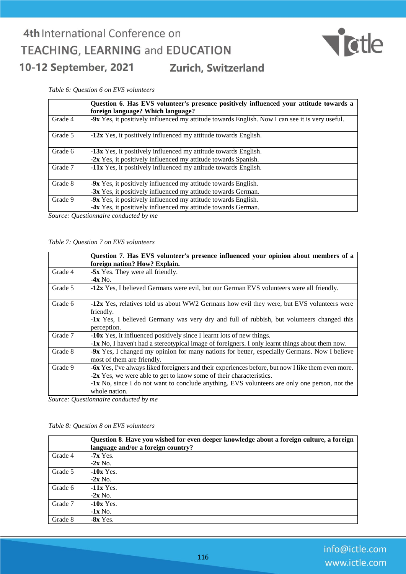

#### *Table 6: Question 6 on EVS volunteers*

|         | Question 6. Has EVS volunteer's presence positively influenced your attitude towards a<br>foreign language? Which language? |
|---------|-----------------------------------------------------------------------------------------------------------------------------|
| Grade 4 | -9x Yes, it positively influenced my attitude towards English. Now I can see it is very useful.                             |
| Grade 5 | -12x Yes, it positively influenced my attitude towards English.                                                             |
| Grade 6 | -13x Yes, it positively influenced my attitude towards English.                                                             |
|         | -2x Yes, it positively influenced my attitude towards Spanish.                                                              |
| Grade 7 | -11x Yes, it positively influenced my attitude towards English.                                                             |
| Grade 8 | -9x Yes, it positively influenced my attitude towards English.                                                              |
|         | -3x Yes, it positively influenced my attitude towards German.                                                               |
| Grade 9 | -9x Yes, it positively influenced my attitude towards English.                                                              |
|         | -4x Yes, it positively influenced my attitude towards German.                                                               |

*Source: Questionnaire conducted by me*

#### *Table 7: Question 7 on EVS volunteers*

|         | Question 7. Has EVS volunteer's presence influenced your opinion about members of a                |
|---------|----------------------------------------------------------------------------------------------------|
|         | foreign nation? How? Explain.                                                                      |
| Grade 4 | -5x Yes. They were all friendly.                                                                   |
|         | $-4x$ No.                                                                                          |
| Grade 5 | -12x Yes, I believed Germans were evil, but our German EVS volunteers were all friendly.           |
|         |                                                                                                    |
| Grade 6 | -12x Yes, relatives told us about WW2 Germans how evil they were, but EVS volunteers were          |
|         | friendly.                                                                                          |
|         | <b>-1x</b> Yes, I believed Germany was very dry and full of rubbish, but volunteers changed this   |
|         | perception.                                                                                        |
| Grade 7 | -10x Yes, it influenced positively since I learnt lots of new things.                              |
|         | -1x No, I haven't had a stereotypical image of foreigners. I only learnt things about them now.    |
| Grade 8 | -9x Yes, I changed my opinion for many nations for better, especially Germans. Now I believe       |
|         | most of them are friendly.                                                                         |
| Grade 9 | -6x Yes, I've always liked foreigners and their experiences before, but now I like them even more. |
|         | $-2x$ Yes, we were able to get to know some of their characteristics.                              |
|         | -1x No, since I do not want to conclude anything. EVS volunteers are only one person, not the      |
|         | whole nation.                                                                                      |

*Source: Questionnaire conducted by me*

#### *Table 8: Question 8 on EVS volunteers*

|         | Question 8. Have you wished for even deeper knowledge about a foreign culture, a foreign<br>language and/or a foreign country? |
|---------|--------------------------------------------------------------------------------------------------------------------------------|
| Grade 4 | $-7x$ Yes.                                                                                                                     |
|         | $-2x$ No.                                                                                                                      |
| Grade 5 | $-10x$ Yes.                                                                                                                    |
|         | $-2x$ No.                                                                                                                      |
| Grade 6 | $-11x$ Yes.                                                                                                                    |
|         | $-2x$ No.                                                                                                                      |
| Grade 7 | $-10x$ Yes.                                                                                                                    |
|         | $-1x$ No.                                                                                                                      |
| Grade 8 | $-8x$ Yes.                                                                                                                     |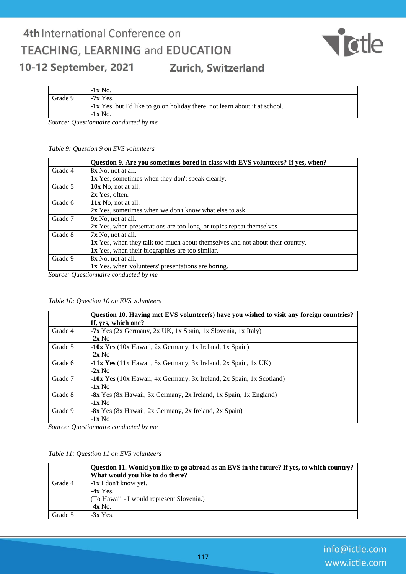

|         | $-1x$ No.                                                                          |
|---------|------------------------------------------------------------------------------------|
| Grade 9 | $-7x$ Yes.                                                                         |
|         | <b>-1x</b> Yes, but I'd like to go on holiday there, not learn about it at school. |
|         | $-1x$ No.                                                                          |
| $\sim$  | $\sim$ $\sim$ $\sim$ $\sim$                                                        |

*Source: Questionnaire conducted by me*

#### *Table 9: Question 9 on EVS volunteers*

|         | Question 9. Are you sometimes bored in class with EVS volunteers? If yes, when?      |
|---------|--------------------------------------------------------------------------------------|
| Grade 4 | 8x No, not at all.                                                                   |
|         | 1x Yes, sometimes when they don't speak clearly.                                     |
| Grade 5 | 10x No, not at all.                                                                  |
|         | $2x$ Yes, often.                                                                     |
| Grade 6 | $11x$ No, not at all.                                                                |
|         | 2x Yes, sometimes when we don't know what else to ask.                               |
| Grade 7 | $9x$ No, not at all.                                                                 |
|         | 2x Yes, when presentations are too long, or topics repeat themselves.                |
| Grade 8 | $7x$ No. not at all.                                                                 |
|         | <b>1x</b> Yes, when they talk too much about themselves and not about their country. |
|         | 1x Yes, when their biographies are too similar.                                      |
| Grade 9 | <b>8x</b> No, not at all.                                                            |
|         | <b>1x</b> Yes, when volunteers' presentations are boring.                            |

*Source: Questionnaire conducted by me*

#### *Table 10: Question 10 on EVS volunteers*

|         | Question 10. Having met EVS volunteer(s) have you wished to visit any foreign countries? |
|---------|------------------------------------------------------------------------------------------|
|         | If, yes, which one?                                                                      |
| Grade 4 | -7x Yes (2x Germany, 2x UK, 1x Spain, 1x Slovenia, 1x Italy)                             |
|         | $-2x$ No                                                                                 |
| Grade 5 | <b>-10x</b> Yes (10x Hawaii, 2x Germany, 1x Ireland, 1x Spain)                           |
|         | $-2x$ No                                                                                 |
| Grade 6 | $-11x$ Yes (11x Hawaii, 5x Germany, 3x Ireland, 2x Spain, 1x UK)                         |
|         | $-2x$ No                                                                                 |
| Grade 7 | -10x Yes (10x Hawaii, 4x Germany, 3x Ireland, 2x Spain, 1x Scotland)                     |
|         | $-1x$ No                                                                                 |
| Grade 8 | -8x Yes (8x Hawaii, 3x Germany, 2x Ireland, 1x Spain, 1x England)                        |
|         | $-1x$ No                                                                                 |
| Grade 9 | -8x Yes (8x Hawaii, 2x Germany, 2x Ireland, 2x Spain)                                    |
|         | $-1x$ No                                                                                 |

*Source: Questionnaire conducted by me*

#### *Table 11: Question 11 on EVS volunteers*

|         | Question 11. Would you like to go abroad as an EVS in the future? If yes, to which country?<br>What would you like to do there? |
|---------|---------------------------------------------------------------------------------------------------------------------------------|
| Grade 4 | $-1x$ I don't know yet.<br>$-4x$ Yes.<br>(To Hawaii - I would represent Slovenia.)<br>$-4x$ No.                                 |
| Grade 5 | $-3x$ Yes.                                                                                                                      |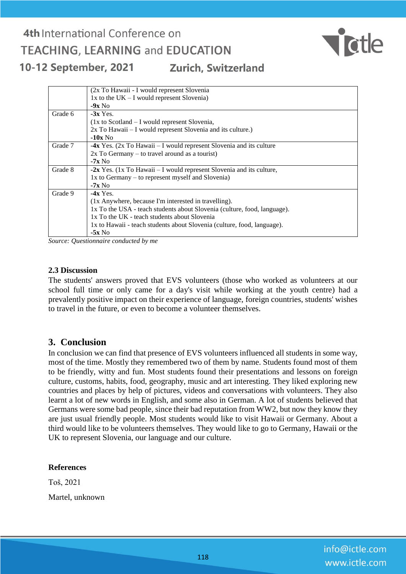

|         | (2x To Hawaii - I would represent Slovenia                                   |
|---------|------------------------------------------------------------------------------|
|         | $1x$ to the UK – I would represent Slovenia)                                 |
|         | $-9x$ No                                                                     |
| Grade 6 | $-3x$ Yes.                                                                   |
|         | $(1x \text{ to Scotland} - I \text{ would represent Slovenia},$              |
|         | 2x To Hawaii – I would represent Slovenia and its culture.)                  |
|         | $-10x$ No                                                                    |
| Grade 7 | -4x Yes. $(2x \text{ To Hawai} - I$ would represent Slovenia and its culture |
|         | $2x$ To Germany – to travel around as a tourist)                             |
|         | $-7x$ No                                                                     |
| Grade 8 | - $2x$ Yes. (1x To Hawaii – I would represent Slovenia and its culture,      |
|         | $1x$ to Germany – to represent myself and Slovenia)                          |
|         | $-7x$ No                                                                     |
| Grade 9 | $-4x$ Yes.                                                                   |
|         | (1x Anywhere, because I'm interested in travelling).                         |
|         | 1x To the USA - teach students about Slovenia (culture, food, language).     |
|         | 1x To the UK - teach students about Slovenia                                 |
|         | 1x to Hawaii - teach students about Slovenia (culture, food, language).      |
|         | $-5x$ No                                                                     |

*Source: Questionnaire conducted by me*

### **2.3 Discussion**

The students' answers proved that EVS volunteers (those who worked as volunteers at our school full time or only came for a day's visit while working at the youth centre) had a prevalently positive impact on their experience of language, foreign countries, students' wishes to travel in the future, or even to become a volunteer themselves.

### **3. Conclusion**

In conclusion we can find that presence of EVS volunteers influenced all students in some way, most of the time. Mostly they remembered two of them by name. Students found most of them to be friendly, witty and fun. Most students found their presentations and lessons on foreign culture, customs, habits, food, geography, music and art interesting. They liked exploring new countries and places by help of pictures, videos and conversations with volunteers. They also learnt a lot of new words in English, and some also in German. A lot of students believed that Germans were some bad people, since their bad reputation from WW2, but now they know they are just usual friendly people. Most students would like to visit Hawaii or Germany. About a third would like to be volunteers themselves. They would like to go to Germany, Hawaii or the UK to represent Slovenia, our language and our culture.

### **References**

Toš, 2021 Martel, unknown